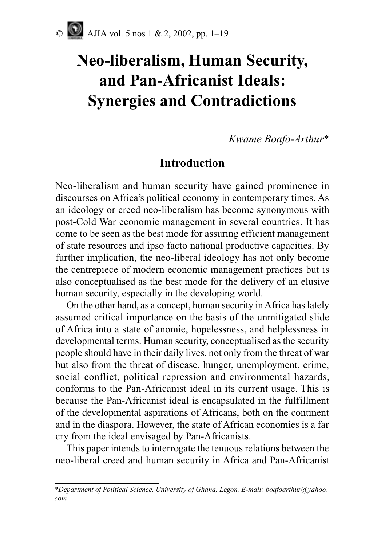# **Neo-liberalism, Human Security, and Pan-Africanist Ideals: Synergies and Contradictions**

*Kwame Boafo-Arthur*\*

# **Introduction**

Neo-liberalism and human security have gained prominence in discourses on Africa's political economy in contemporary times. As an ideology or creed neo-liberalism has become synonymous with post-Cold War economic management in several countries. It has come to be seen as the best mode for assuring efficient management of state resources and ipso facto national productive capacities. By further implication, the neo-liberal ideology has not only become the centrepiece of modern economic management practices but is also conceptualised as the best mode for the delivery of an elusive human security, especially in the developing world.

On the other hand, as a concept, human security in Africa has lately assumed critical importance on the basis of the unmitigated slide of Africa into a state of anomie, hopelessness, and helplessness in developmental terms. Human security, conceptualised as the security people should have in their daily lives, not only from the threat of war but also from the threat of disease, hunger, unemployment, crime, social conflict, political repression and environmental hazards, conforms to the Pan-Africanist ideal in its current usage. This is because the Pan-Africanist ideal is encapsulated in the fulfillment of the developmental aspirations of Africans, both on the continent and in the diaspora. However, the state of African economies is a far cry from the ideal envisaged by Pan-Africanists.

This paper intends to interrogate the tenuous relations between the neo-liberal creed and human security in Africa and Pan-Africanist

*<sup>\*</sup>Department of Political Science, University of Ghana, Legon. E-mail: boafoarthur@yahoo. com*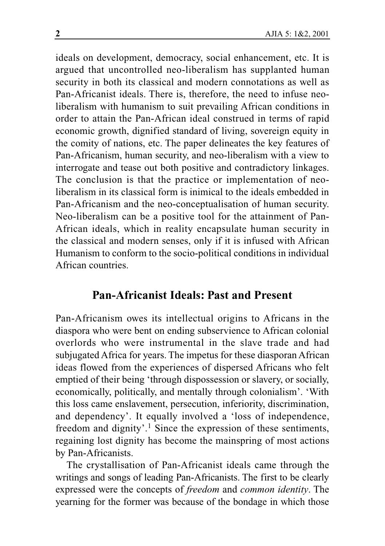ideals on development, democracy, social enhancement, etc. It is argued that uncontrolled neo-liberalism has supplanted human security in both its classical and modern connotations as well as Pan-Africanist ideals. There is, therefore, the need to infuse neoliberalism with humanism to suit prevailing African conditions in order to attain the Pan-African ideal construed in terms of rapid economic growth, dignified standard of living, sovereign equity in the comity of nations, etc. The paper delineates the key features of Pan-Africanism, human security, and neo-liberalism with a view to interrogate and tease out both positive and contradictory linkages. The conclusion is that the practice or implementation of neoliberalism in its classical form is inimical to the ideals embedded in Pan-Africanism and the neo-conceptualisation of human security. Neo-liberalism can be a positive tool for the attainment of Pan-African ideals, which in reality encapsulate human security in the classical and modern senses, only if it is infused with African Humanism to conform to the socio-political conditions in individual African countries.

## **Pan-Africanist Ideals: Past and Present**

Pan-Africanism owes its intellectual origins to Africans in the diaspora who were bent on ending subservience to African colonial overlords who were instrumental in the slave trade and had subjugated Africa for years. The impetus for these diasporan African ideas flowed from the experiences of dispersed Africans who felt emptied of their being 'through dispossession or slavery, or socially, economically, politically, and mentally through colonialism'. 'With this loss came enslavement, persecution, inferiority, discrimination, and dependency'. It equally involved a 'loss of independence, freedom and dignity'.<sup>1</sup> Since the expression of these sentiments, regaining lost dignity has become the mainspring of most actions by Pan-Africanists.

The crystallisation of Pan-Africanist ideals came through the writings and songs of leading Pan-Africanists. The first to be clearly expressed were the concepts of *freedom* and *common identity*. The yearning for the former was because of the bondage in which those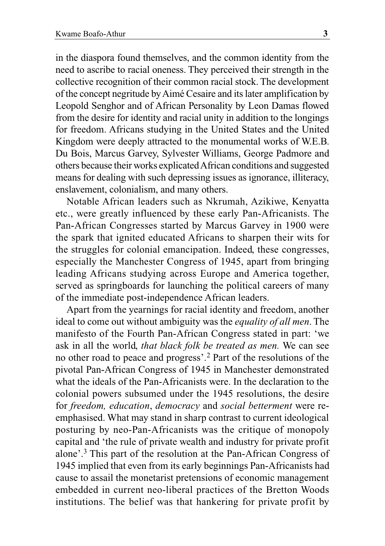in the diaspora found themselves, and the common identity from the need to ascribe to racial oneness. They perceived their strength in the collective recognition of their common racial stock. The development of the concept negritude by Aimé Cesaire and its later amplification by Leopold Senghor and of African Personality by Leon Damas flowed from the desire for identity and racial unity in addition to the longings for freedom. Africans studying in the United States and the United Kingdom were deeply attracted to the monumental works of W.E.B. Du Bois, Marcus Garvey, Sylvester Williams, George Padmore and others because their works explicated African conditions and suggested means for dealing with such depressing issues as ignorance, illiteracy, enslavement, colonialism, and many others.

Notable African leaders such as Nkrumah, Azikiwe, Kenyatta etc., were greatly influenced by these early Pan-Africanists. The Pan-African Congresses started by Marcus Garvey in 1900 were the spark that ignited educated Africans to sharpen their wits for the struggles for colonial emancipation. Indeed, these congresses, especially the Manchester Congress of 1945, apart from bringing leading Africans studying across Europe and America together, served as springboards for launching the political careers of many of the immediate post-independence African leaders.

Apart from the yearnings for racial identity and freedom, another ideal to come out without ambiguity was the *equality of all men*. The manifesto of the Fourth Pan-African Congress stated in part: 'we ask in all the world, *that black folk be treated as men.* We can see no other road to peace and progress'.2 Part of the resolutions of the pivotal Pan-African Congress of 1945 in Manchester demonstrated what the ideals of the Pan-Africanists were. In the declaration to the colonial powers subsumed under the 1945 resolutions, the desire for *freedom, education*, *democracy* and *social betterment* were reemphasised. What may stand in sharp contrast to current ideological posturing by neo-Pan-Africanists was the critique of monopoly capital and 'the rule of private wealth and industry for private profit alone'.3 This part of the resolution at the Pan-African Congress of 1945 implied that even from its early beginnings Pan-Africanists had cause to assail the monetarist pretensions of economic management embedded in current neo-liberal practices of the Bretton Woods institutions. The belief was that hankering for private profit by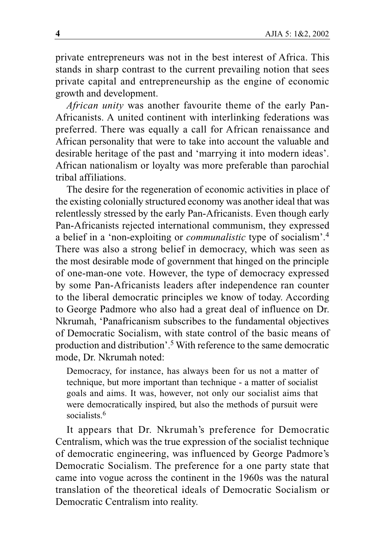private entrepreneurs was not in the best interest of Africa. This stands in sharp contrast to the current prevailing notion that sees private capital and entrepreneurship as the engine of economic growth and development.

*African unity* was another favourite theme of the early Pan-Africanists. A united continent with interlinking federations was preferred. There was equally a call for African renaissance and African personality that were to take into account the valuable and desirable heritage of the past and 'marrying it into modern ideas'. African nationalism or loyalty was more preferable than parochial tribal affiliations.

The desire for the regeneration of economic activities in place of the existing colonially structured economy was another ideal that was relentlessly stressed by the early Pan-Africanists. Even though early Pan-Africanists rejected international communism, they expressed a belief in a 'non-exploiting or *communalistic* type of socialism'.4 There was also a strong belief in democracy, which was seen as the most desirable mode of government that hinged on the principle of one-man-one vote. However, the type of democracy expressed by some Pan-Africanists leaders after independence ran counter to the liberal democratic principles we know of today. According to George Padmore who also had a great deal of influence on Dr. Nkrumah, 'Panafricanism subscribes to the fundamental objectives of Democratic Socialism, with state control of the basic means of production and distribution'.5 With reference to the same democratic mode, Dr. Nkrumah noted:

Democracy, for instance, has always been for us not a matter of technique, but more important than technique - a matter of socialist goals and aims. It was, however, not only our socialist aims that were democratically inspired, but also the methods of pursuit were socialists.<sup>6</sup>

It appears that Dr. Nkrumah's preference for Democratic Centralism, which was the true expression of the socialist technique of democratic engineering, was influenced by George Padmore's Democratic Socialism. The preference for a one party state that came into vogue across the continent in the 1960s was the natural translation of the theoretical ideals of Democratic Socialism or Democratic Centralism into reality.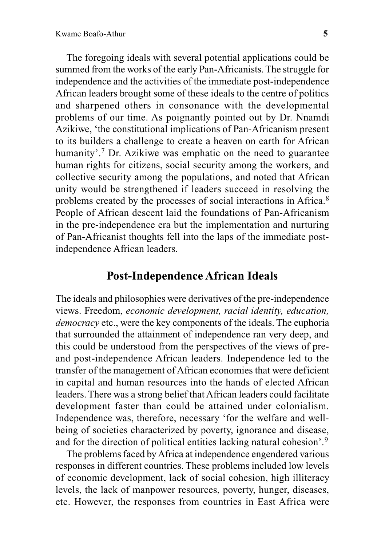The foregoing ideals with several potential applications could be summed from the works of the early Pan-Africanists. The struggle for independence and the activities of the immediate post-independence African leaders brought some of these ideals to the centre of politics and sharpened others in consonance with the developmental problems of our time. As poignantly pointed out by Dr. Nnamdi Azikiwe, 'the constitutional implications of Pan-Africanism present to its builders a challenge to create a heaven on earth for African humanity'.<sup>7</sup> Dr. Azikiwe was emphatic on the need to guarantee human rights for citizens, social security among the workers, and collective security among the populations, and noted that African unity would be strengthened if leaders succeed in resolving the problems created by the processes of social interactions in Africa.8 People of African descent laid the foundations of Pan-Africanism in the pre-independence era but the implementation and nurturing of Pan-Africanist thoughts fell into the laps of the immediate postindependence African leaders.

#### **Post-Independence African Ideals**

The ideals and philosophies were derivatives of the pre-independence views. Freedom, *economic development, racial identity, education, democracy* etc., were the key components of the ideals. The euphoria that surrounded the attainment of independence ran very deep, and this could be understood from the perspectives of the views of preand post-independence African leaders. Independence led to the transfer of the management of African economies that were deficient in capital and human resources into the hands of elected African leaders. There was a strong belief that African leaders could facilitate development faster than could be attained under colonialism. Independence was, therefore, necessary 'for the welfare and wellbeing of societies characterized by poverty, ignorance and disease, and for the direction of political entities lacking natural cohesion'.9

The problems faced by Africa at independence engendered various responses in different countries. These problems included low levels of economic development, lack of social cohesion, high illiteracy levels, the lack of manpower resources, poverty, hunger, diseases, etc. However, the responses from countries in East Africa were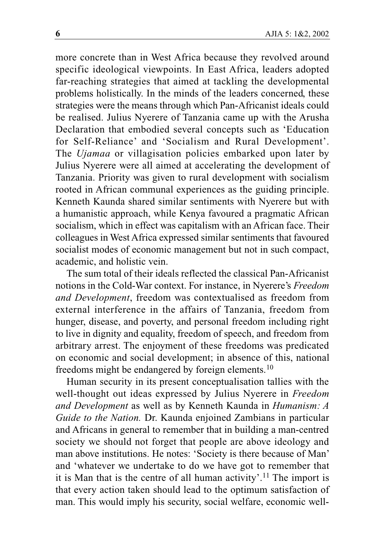more concrete than in West Africa because they revolved around specific ideological viewpoints. In East Africa, leaders adopted far-reaching strategies that aimed at tackling the developmental problems holistically. In the minds of the leaders concerned, these strategies were the means through which Pan-Africanist ideals could be realised. Julius Nyerere of Tanzania came up with the Arusha Declaration that embodied several concepts such as 'Education for Self-Reliance' and 'Socialism and Rural Development'. The *Ujamaa* or villagisation policies embarked upon later by Julius Nyerere were all aimed at accelerating the development of Tanzania. Priority was given to rural development with socialism rooted in African communal experiences as the guiding principle. Kenneth Kaunda shared similar sentiments with Nyerere but with a humanistic approach, while Kenya favoured a pragmatic African socialism, which in effect was capitalism with an African face. Their colleagues in West Africa expressed similar sentiments that favoured socialist modes of economic management but not in such compact, academic, and holistic vein.

The sum total of their ideals reflected the classical Pan-Africanist notions in the Cold-War context. For instance, in Nyerere's *Freedom and Development*, freedom was contextualised as freedom from external interference in the affairs of Tanzania, freedom from hunger, disease, and poverty, and personal freedom including right to live in dignity and equality, freedom of speech, and freedom from arbitrary arrest. The enjoyment of these freedoms was predicated on economic and social development; in absence of this, national freedoms might be endangered by foreign elements.10

Human security in its present conceptualisation tallies with the well-thought out ideas expressed by Julius Nyerere in *Freedom and Development* as well as by Kenneth Kaunda in *Humanism: A Guide to the Nation.* Dr. Kaunda enjoined Zambians in particular and Africans in general to remember that in building a man-centred society we should not forget that people are above ideology and man above institutions. He notes: 'Society is there because of Man' and 'whatever we undertake to do we have got to remember that it is Man that is the centre of all human activity'.<sup>11</sup> The import is that every action taken should lead to the optimum satisfaction of man. This would imply his security, social welfare, economic well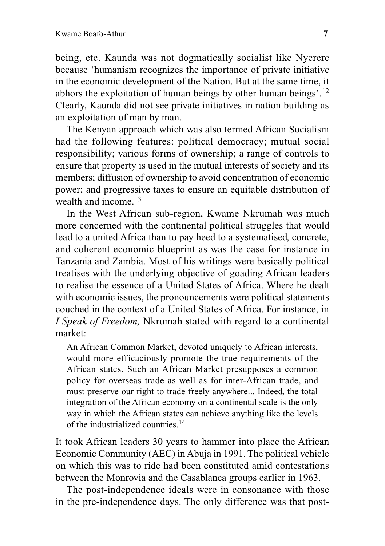being, etc. Kaunda was not dogmatically socialist like Nyerere because 'humanism recognizes the importance of private initiative in the economic development of the Nation. But at the same time, it abhors the exploitation of human beings by other human beings'.12 Clearly, Kaunda did not see private initiatives in nation building as an exploitation of man by man.

The Kenyan approach which was also termed African Socialism had the following features: political democracy; mutual social responsibility; various forms of ownership; a range of controls to ensure that property is used in the mutual interests of society and its members; diffusion of ownership to avoid concentration of economic power; and progressive taxes to ensure an equitable distribution of wealth and income.<sup>13</sup>

In the West African sub-region, Kwame Nkrumah was much more concerned with the continental political struggles that would lead to a united Africa than to pay heed to a systematised, concrete, and coherent economic blueprint as was the case for instance in Tanzania and Zambia. Most of his writings were basically political treatises with the underlying objective of goading African leaders to realise the essence of a United States of Africa. Where he dealt with economic issues, the pronouncements were political statements couched in the context of a United States of Africa. For instance, in *I Speak of Freedom,* Nkrumah stated with regard to a continental market:

An African Common Market, devoted uniquely to African interests, would more efficaciously promote the true requirements of the African states. Such an African Market presupposes a common policy for overseas trade as well as for inter-African trade, and must preserve our right to trade freely anywhere... Indeed, the total integration of the African economy on a continental scale is the only way in which the African states can achieve anything like the levels of the industrialized countries.14

It took African leaders 30 years to hammer into place the African Economic Community (AEC) in Abuja in 1991. The political vehicle on which this was to ride had been constituted amid contestations between the Monrovia and the Casablanca groups earlier in 1963.

The post-independence ideals were in consonance with those in the pre-independence days. The only difference was that post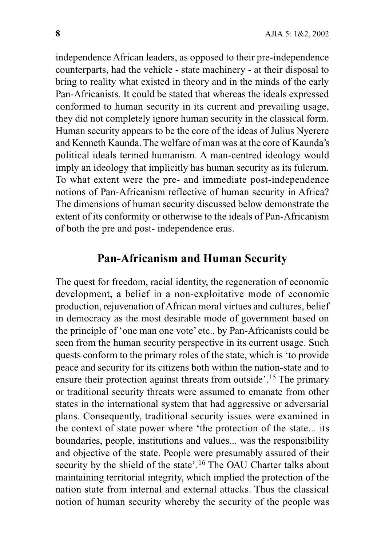independence African leaders, as opposed to their pre-independence counterparts, had the vehicle - state machinery - at their disposal to bring to reality what existed in theory and in the minds of the early Pan-Africanists. It could be stated that whereas the ideals expressed conformed to human security in its current and prevailing usage, they did not completely ignore human security in the classical form. Human security appears to be the core of the ideas of Julius Nyerere and Kenneth Kaunda. The welfare of man was at the core of Kaunda's political ideals termed humanism. A man-centred ideology would imply an ideology that implicitly has human security as its fulcrum. To what extent were the pre- and immediate post-independence notions of Pan-Africanism reflective of human security in Africa? The dimensions of human security discussed below demonstrate the extent of its conformity or otherwise to the ideals of Pan-Africanism of both the pre and post- independence eras.

#### **Pan-Africanism and Human Security**

The quest for freedom, racial identity, the regeneration of economic development, a belief in a non-exploitative mode of economic production, rejuvenation of African moral virtues and cultures, belief in democracy as the most desirable mode of government based on the principle of 'one man one vote' etc., by Pan-Africanists could be seen from the human security perspective in its current usage. Such quests conform to the primary roles of the state, which is 'to provide peace and security for its citizens both within the nation-state and to ensure their protection against threats from outside'.15 The primary or traditional security threats were assumed to emanate from other states in the international system that had aggressive or adversarial plans. Consequently, traditional security issues were examined in the context of state power where 'the protection of the state... its boundaries, people, institutions and values... was the responsibility and objective of the state. People were presumably assured of their security by the shield of the state'.<sup>16</sup> The OAU Charter talks about maintaining territorial integrity, which implied the protection of the nation state from internal and external attacks. Thus the classical notion of human security whereby the security of the people was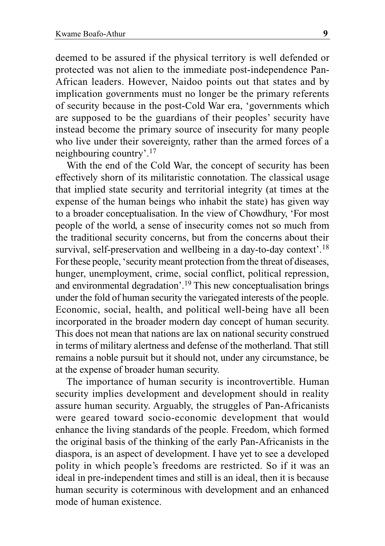deemed to be assured if the physical territory is well defended or protected was not alien to the immediate post-independence Pan-African leaders. However, Naidoo points out that states and by implication governments must no longer be the primary referents of security because in the post-Cold War era, 'governments which are supposed to be the guardians of their peoples' security have instead become the primary source of insecurity for many people who live under their sovereignty, rather than the armed forces of a neighbouring country'.17

With the end of the Cold War, the concept of security has been effectively shorn of its militaristic connotation. The classical usage that implied state security and territorial integrity (at times at the expense of the human beings who inhabit the state) has given way to a broader conceptualisation. In the view of Chowdhury, 'For most people of the world, a sense of insecurity comes not so much from the traditional security concerns, but from the concerns about their survival, self-preservation and wellbeing in a day-to-day context'.<sup>18</sup> For these people, 'security meant protection from the threat of diseases, hunger, unemployment, crime, social conflict, political repression, and environmental degradation'.19 This new conceptualisation brings under the fold of human security the variegated interests of the people. Economic, social, health, and political well-being have all been incorporated in the broader modern day concept of human security. This does not mean that nations are lax on national security construed in terms of military alertness and defense of the motherland. That still remains a noble pursuit but it should not, under any circumstance, be at the expense of broader human security.

The importance of human security is incontrovertible. Human security implies development and development should in reality assure human security. Arguably, the struggles of Pan-Africanists were geared toward socio-economic development that would enhance the living standards of the people. Freedom, which formed the original basis of the thinking of the early Pan-Africanists in the diaspora, is an aspect of development. I have yet to see a developed polity in which people's freedoms are restricted. So if it was an ideal in pre-independent times and still is an ideal, then it is because human security is coterminous with development and an enhanced mode of human existence.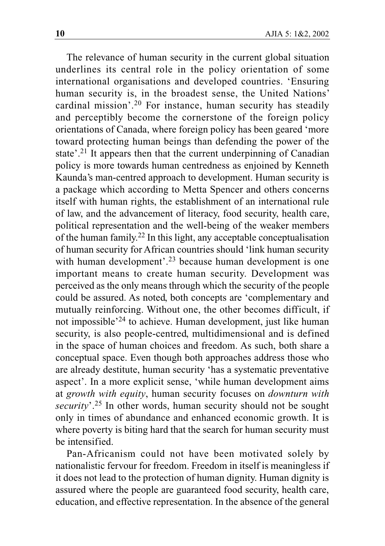The relevance of human security in the current global situation underlines its central role in the policy orientation of some international organisations and developed countries. 'Ensuring human security is, in the broadest sense, the United Nations' cardinal mission'.20 For instance, human security has steadily and perceptibly become the cornerstone of the foreign policy orientations of Canada, where foreign policy has been geared 'more toward protecting human beings than defending the power of the state'.<sup>21</sup> It appears then that the current underpinning of Canadian policy is more towards human centredness as enjoined by Kenneth Kaunda's man-centred approach to development. Human security is a package which according to Metta Spencer and others concerns itself with human rights, the establishment of an international rule of law, and the advancement of literacy, food security, health care, political representation and the well-being of the weaker members of the human family.22 In this light, any acceptable conceptualisation of human security for African countries should 'link human security with human development'.<sup>23</sup> because human development is one important means to create human security. Development was perceived as the only means through which the security of the people could be assured. As noted, both concepts are 'complementary and mutually reinforcing. Without one, the other becomes difficult, if not impossible'24 to achieve. Human development, just like human security, is also people-centred, multidimensional and is defined in the space of human choices and freedom. As such, both share a conceptual space. Even though both approaches address those who are already destitute, human security 'has a systematic preventative aspect'. In a more explicit sense, 'while human development aims at *growth with equity*, human security focuses on *downturn with security*'.25 In other words, human security should not be sought only in times of abundance and enhanced economic growth. It is where poverty is biting hard that the search for human security must be intensified.

Pan-Africanism could not have been motivated solely by nationalistic fervour for freedom. Freedom in itself is meaningless if it does not lead to the protection of human dignity. Human dignity is assured where the people are guaranteed food security, health care, education, and effective representation. In the absence of the general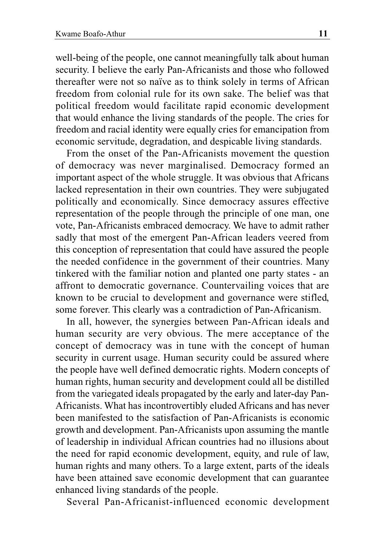well-being of the people, one cannot meaningfully talk about human security. I believe the early Pan-Africanists and those who followed thereafter were not so naïve as to think solely in terms of African freedom from colonial rule for its own sake. The belief was that political freedom would facilitate rapid economic development that would enhance the living standards of the people. The cries for freedom and racial identity were equally cries for emancipation from economic servitude, degradation, and despicable living standards.

From the onset of the Pan-Africanists movement the question of democracy was never marginalised. Democracy formed an important aspect of the whole struggle. It was obvious that Africans lacked representation in their own countries. They were subjugated politically and economically. Since democracy assures effective representation of the people through the principle of one man, one vote, Pan-Africanists embraced democracy. We have to admit rather sadly that most of the emergent Pan-African leaders veered from this conception of representation that could have assured the people the needed confidence in the government of their countries. Many tinkered with the familiar notion and planted one party states - an affront to democratic governance. Countervailing voices that are known to be crucial to development and governance were stifled, some forever. This clearly was a contradiction of Pan-Africanism.

In all, however, the synergies between Pan-African ideals and human security are very obvious. The mere acceptance of the concept of democracy was in tune with the concept of human security in current usage. Human security could be assured where the people have well defined democratic rights. Modern concepts of human rights, human security and development could all be distilled from the variegated ideals propagated by the early and later-day Pan-Africanists. What has incontrovertibly eluded Africans and has never been manifested to the satisfaction of Pan-Africanists is economic growth and development. Pan-Africanists upon assuming the mantle of leadership in individual African countries had no illusions about the need for rapid economic development, equity, and rule of law, human rights and many others. To a large extent, parts of the ideals have been attained save economic development that can guarantee enhanced living standards of the people.

Several Pan-Africanist-influenced economic development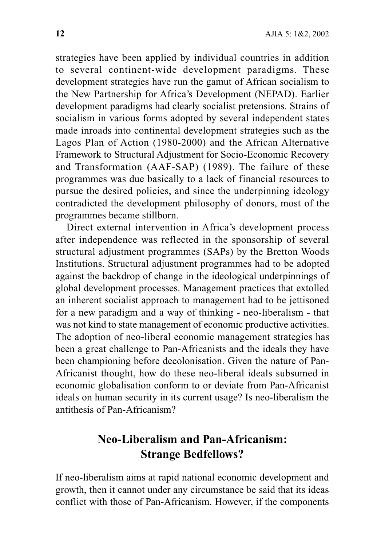strategies have been applied by individual countries in addition to several continent-wide development paradigms. These development strategies have run the gamut of African socialism to the New Partnership for Africa's Development (NEPAD). Earlier development paradigms had clearly socialist pretensions. Strains of socialism in various forms adopted by several independent states made inroads into continental development strategies such as the Lagos Plan of Action (1980-2000) and the African Alternative Framework to Structural Adjustment for Socio-Economic Recovery and Transformation (AAF-SAP) (1989). The failure of these programmes was due basically to a lack of financial resources to pursue the desired policies, and since the underpinning ideology contradicted the development philosophy of donors, most of the programmes became stillborn.

Direct external intervention in Africa's development process after independence was reflected in the sponsorship of several structural adjustment programmes (SAPs) by the Bretton Woods Institutions. Structural adjustment programmes had to be adopted against the backdrop of change in the ideological underpinnings of global development processes. Management practices that extolled an inherent socialist approach to management had to be jettisoned for a new paradigm and a way of thinking - neo-liberalism - that was not kind to state management of economic productive activities. The adoption of neo-liberal economic management strategies has been a great challenge to Pan-Africanists and the ideals they have been championing before decolonisation. Given the nature of Pan-Africanist thought, how do these neo-liberal ideals subsumed in economic globalisation conform to or deviate from Pan-Africanist ideals on human security in its current usage? Is neo-liberalism the antithesis of Pan-Africanism?

## **Neo-Liberalism and Pan-Africanism: Strange Bedfellows?**

If neo-liberalism aims at rapid national economic development and growth, then it cannot under any circumstance be said that its ideas conflict with those of Pan-Africanism. However, if the components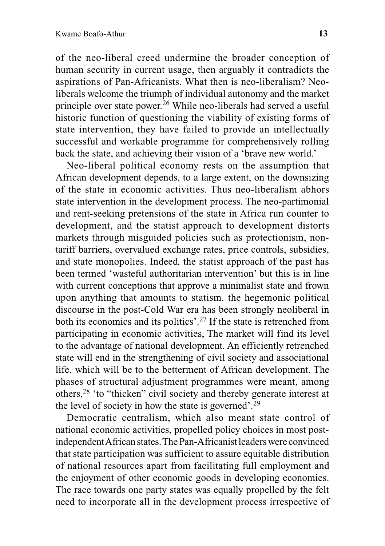of the neo-liberal creed undermine the broader conception of human security in current usage, then arguably it contradicts the aspirations of Pan-Africanists. What then is neo-liberalism? Neoliberals welcome the triumph of individual autonomy and the market principle over state power.26 While neo-liberals had served a useful historic function of questioning the viability of existing forms of state intervention, they have failed to provide an intellectually successful and workable programme for comprehensively rolling back the state, and achieving their vision of a 'brave new world.'

Neo-liberal political economy rests on the assumption that African development depends, to a large extent, on the downsizing of the state in economic activities. Thus neo-liberalism abhors state intervention in the development process. The neo-partimonial and rent-seeking pretensions of the state in Africa run counter to development, and the statist approach to development distorts markets through misguided policies such as protectionism, nontariff barriers, overvalued exchange rates, price controls, subsidies, and state monopolies. Indeed, the statist approach of the past has been termed 'wasteful authoritarian intervention' but this is in line with current conceptions that approve a minimalist state and frown upon anything that amounts to statism. the hegemonic political discourse in the post-Cold War era has been strongly neoliberal in both its economics and its politics'.27 If the state is retrenched from participating in economic activities, The market will find its level to the advantage of national development. An efficiently retrenched state will end in the strengthening of civil society and associational life, which will be to the betterment of African development. The phases of structural adjustment programmes were meant, among others,28 'to "thicken" civil society and thereby generate interest at the level of society in how the state is governed'.29

Democratic centralism, which also meant state control of national economic activities, propelled policy choices in most postindependent African states. The Pan-Africanist leaders were convinced that state participation was sufficient to assure equitable distribution of national resources apart from facilitating full employment and the enjoyment of other economic goods in developing economies. The race towards one party states was equally propelled by the felt need to incorporate all in the development process irrespective of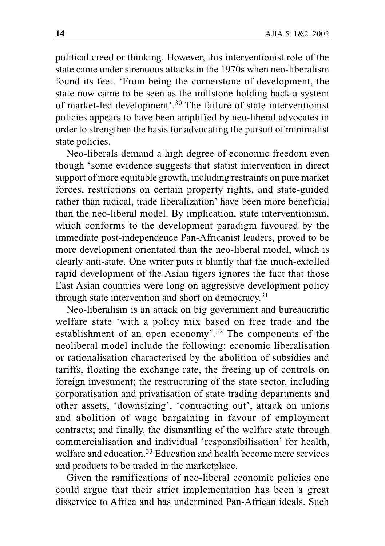political creed or thinking. However, this interventionist role of the state came under strenuous attacks in the 1970s when neo-liberalism found its feet. 'From being the cornerstone of development, the state now came to be seen as the millstone holding back a system of market-led development'.30 The failure of state interventionist policies appears to have been amplified by neo-liberal advocates in order to strengthen the basis for advocating the pursuit of minimalist state policies.

Neo-liberals demand a high degree of economic freedom even though 'some evidence suggests that statist intervention in direct support of more equitable growth, including restraints on pure market forces, restrictions on certain property rights, and state-guided rather than radical, trade liberalization' have been more beneficial than the neo-liberal model. By implication, state interventionism, which conforms to the development paradigm favoured by the immediate post-independence Pan-Africanist leaders, proved to be more development orientated than the neo-liberal model, which is clearly anti-state. One writer puts it bluntly that the much-extolled rapid development of the Asian tigers ignores the fact that those East Asian countries were long on aggressive development policy through state intervention and short on democracy.<sup>31</sup>

Neo-liberalism is an attack on big government and bureaucratic welfare state 'with a policy mix based on free trade and the establishment of an open economy'.32 The components of the neoliberal model include the following: economic liberalisation or rationalisation characterised by the abolition of subsidies and tariffs, floating the exchange rate, the freeing up of controls on foreign investment; the restructuring of the state sector, including corporatisation and privatisation of state trading departments and other assets, 'downsizing', 'contracting out', attack on unions and abolition of wage bargaining in favour of employment contracts; and finally, the dismantling of the welfare state through commercialisation and individual 'responsibilisation' for health, welfare and education.<sup>33</sup> Education and health become mere services and products to be traded in the marketplace.

Given the ramifications of neo-liberal economic policies one could argue that their strict implementation has been a great disservice to Africa and has undermined Pan-African ideals. Such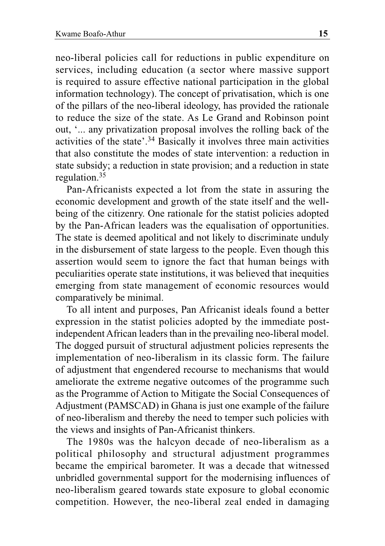neo-liberal policies call for reductions in public expenditure on services, including education (a sector where massive support is required to assure effective national participation in the global information technology). The concept of privatisation, which is one of the pillars of the neo-liberal ideology, has provided the rationale to reduce the size of the state. As Le Grand and Robinson point out, '... any privatization proposal involves the rolling back of the activities of the state'.34 Basically it involves three main activities that also constitute the modes of state intervention: a reduction in state subsidy; a reduction in state provision; and a reduction in state regulation.35

Pan-Africanists expected a lot from the state in assuring the economic development and growth of the state itself and the wellbeing of the citizenry. One rationale for the statist policies adopted by the Pan-African leaders was the equalisation of opportunities. The state is deemed apolitical and not likely to discriminate unduly in the disbursement of state largess to the people. Even though this assertion would seem to ignore the fact that human beings with peculiarities operate state institutions, it was believed that inequities emerging from state management of economic resources would comparatively be minimal.

To all intent and purposes, Pan Africanist ideals found a better expression in the statist policies adopted by the immediate postindependent African leaders than in the prevailing neo-liberal model. The dogged pursuit of structural adjustment policies represents the implementation of neo-liberalism in its classic form. The failure of adjustment that engendered recourse to mechanisms that would ameliorate the extreme negative outcomes of the programme such as the Programme of Action to Mitigate the Social Consequences of Adjustment (PAMSCAD) in Ghana is just one example of the failure of neo-liberalism and thereby the need to temper such policies with the views and insights of Pan-Africanist thinkers.

The 1980s was the halcyon decade of neo-liberalism as a political philosophy and structural adjustment programmes became the empirical barometer. It was a decade that witnessed unbridled governmental support for the modernising influences of neo-liberalism geared towards state exposure to global economic competition. However, the neo-liberal zeal ended in damaging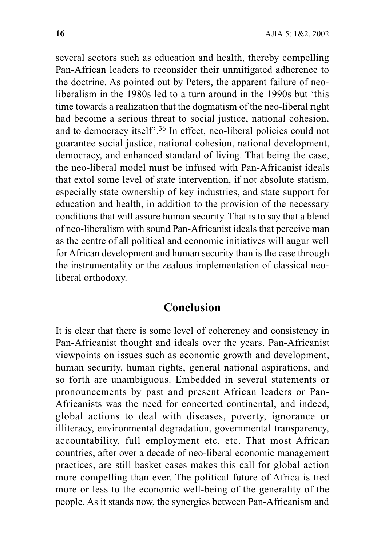several sectors such as education and health, thereby compelling Pan-African leaders to reconsider their unmitigated adherence to the doctrine. As pointed out by Peters, the apparent failure of neoliberalism in the 1980s led to a turn around in the 1990s but 'this time towards a realization that the dogmatism of the neo-liberal right had become a serious threat to social justice, national cohesion, and to democracy itself'.36 In effect, neo-liberal policies could not guarantee social justice, national cohesion, national development, democracy, and enhanced standard of living. That being the case, the neo-liberal model must be infused with Pan-Africanist ideals that extol some level of state intervention, if not absolute statism, especially state ownership of key industries, and state support for education and health, in addition to the provision of the necessary conditions that will assure human security. That is to say that a blend of neo-liberalism with sound Pan-Africanist ideals that perceive man as the centre of all political and economic initiatives will augur well for African development and human security than is the case through the instrumentality or the zealous implementation of classical neoliberal orthodoxy.

#### **Conclusion**

It is clear that there is some level of coherency and consistency in Pan-Africanist thought and ideals over the years. Pan-Africanist viewpoints on issues such as economic growth and development, human security, human rights, general national aspirations, and so forth are unambiguous. Embedded in several statements or pronouncements by past and present African leaders or Pan-Africanists was the need for concerted continental, and indeed, global actions to deal with diseases, poverty, ignorance or illiteracy, environmental degradation, governmental transparency, accountability, full employment etc. etc. That most African countries, after over a decade of neo-liberal economic management practices, are still basket cases makes this call for global action more compelling than ever. The political future of Africa is tied more or less to the economic well-being of the generality of the people. As it stands now, the synergies between Pan-Africanism and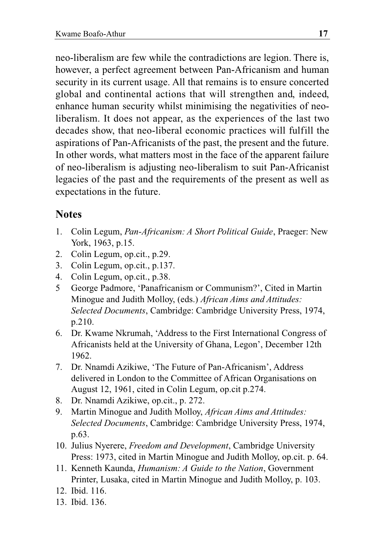neo-liberalism are few while the contradictions are legion. There is, however, a perfect agreement between Pan-Africanism and human security in its current usage. All that remains is to ensure concerted global and continental actions that will strengthen and, indeed, enhance human security whilst minimising the negativities of neoliberalism. It does not appear, as the experiences of the last two decades show, that neo-liberal economic practices will fulfill the aspirations of Pan-Africanists of the past, the present and the future. In other words, what matters most in the face of the apparent failure of neo-liberalism is adjusting neo-liberalism to suit Pan-Africanist legacies of the past and the requirements of the present as well as expectations in the future.

#### **Notes**

- 1. Colin Legum, *Pan-Africanism: A Short Political Guide*, Praeger: New York, 1963, p.15.
- 2. Colin Legum, op.cit., p.29.
- 3. Colin Legum, op.cit., p.137.
- 4. Colin Legum, op.cit., p.38.
- 5 George Padmore, 'Panafricanism or Communism?', Cited in Martin Minogue and Judith Molloy, (eds.) *African Aims and Attitudes: Selected Documents*, Cambridge: Cambridge University Press, 1974, p.210.
- 6. Dr. Kwame Nkrumah, 'Address to the First International Congress of Africanists held at the University of Ghana, Legon', December 12th 1962.
- 7. Dr. Nnamdi Azikiwe, 'The Future of Pan-Africanism', Address delivered in London to the Committee of African Organisations on August 12, 1961, cited in Colin Legum, op.cit p.274.
- 8. Dr. Nnamdi Azikiwe, op.cit., p. 272.
- 9. Martin Minogue and Judith Molloy, *African Aims and Attitudes: Selected Documents*, Cambridge: Cambridge University Press, 1974, p.63.
- 10. Julius Nyerere, *Freedom and Development*, Cambridge University Press: 1973, cited in Martin Minogue and Judith Molloy, op.cit. p. 64.
- 11. Kenneth Kaunda, *Humanism: A Guide to the Nation*, Government Printer, Lusaka, cited in Martin Minogue and Judith Molloy, p. 103.
- 12. Ibid. 116.
- 13. Ibid. 136.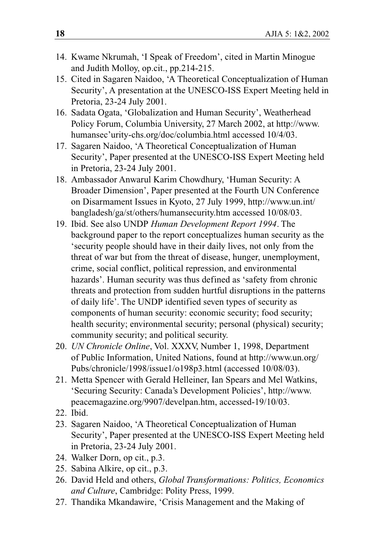- 14. Kwame Nkrumah, 'I Speak of Freedom', cited in Martin Minogue and Judith Molloy, op.cit., pp.214-215.
- 15. Cited in Sagaren Naidoo, 'A Theoretical Conceptualization of Human Security', A presentation at the UNESCO-ISS Expert Meeting held in Pretoria, 23-24 July 2001.
- 16. Sadata Ogata, 'Globalization and Human Security', Weatherhead Policy Forum, Columbia University, 27 March 2002, at http://www. humansec'urity-chs.org/doc/columbia.html accessed 10/4/03.
- 17. Sagaren Naidoo, 'A Theoretical Conceptualization of Human Security', Paper presented at the UNESCO-ISS Expert Meeting held in Pretoria, 23-24 July 2001.
- 18. Ambassador Anwarul Karim Chowdhury, 'Human Security: A Broader Dimension', Paper presented at the Fourth UN Conference on Disarmament Issues in Kyoto, 27 July 1999, http://www.un.int/ bangladesh/ga/st/others/humansecurity.htm accessed 10/08/03.
- 19. Ibid. See also UNDP *Human Development Report 1994*. The background paper to the report conceptualizes human security as the 'security people should have in their daily lives, not only from the threat of war but from the threat of disease, hunger, unemployment, crime, social conflict, political repression, and environmental hazards'. Human security was thus defined as 'safety from chronic threats and protection from sudden hurtful disruptions in the patterns of daily life'. The UNDP identified seven types of security as components of human security: economic security; food security; health security; environmental security; personal (physical) security; community security; and political security.
- 20. *UN Chronicle Online*, Vol. XXXV, Number 1, 1998, Department of Public Information, United Nations, found at http://www.un.org/ Pubs/chronicle/1998/issue1/o198p3.html (accessed 10/08/03).
- 21. Metta Spencer with Gerald Helleiner, Ian Spears and Mel Watkins, 'Securing Security: Canada's Development Policies', http://www. peacemagazine.org/9907/develpan.htm, accessed-19/10/03.
- 22. Ibid.
- 23. Sagaren Naidoo, 'A Theoretical Conceptualization of Human Security', Paper presented at the UNESCO-ISS Expert Meeting held in Pretoria, 23-24 July 2001.
- 24. Walker Dorn, op cit., p.3.
- 25. Sabina Alkire, op cit., p.3.
- 26. David Held and others, *Global Transformations: Politics, Economics and Culture*, Cambridge: Polity Press, 1999.
- 27. Thandika Mkandawire, 'Crisis Management and the Making of